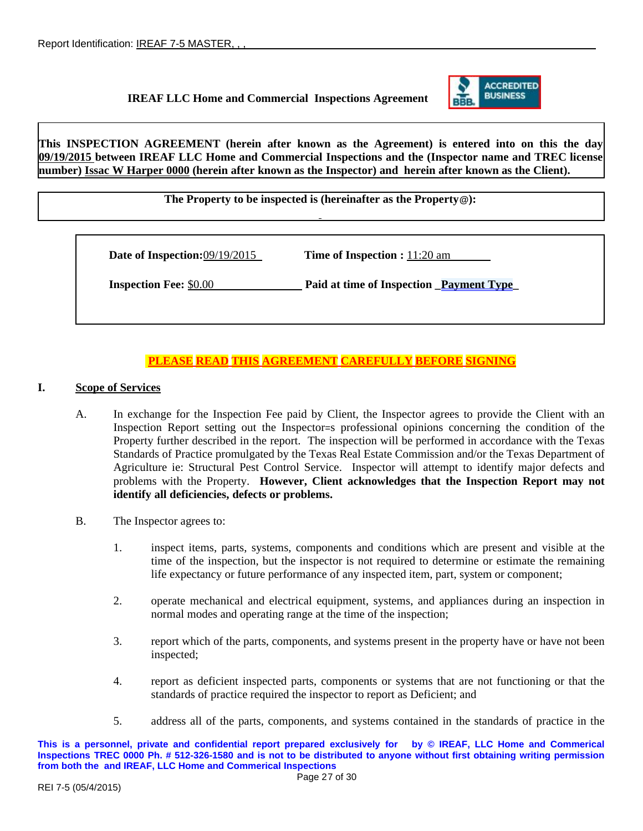## **IREAF LLC Home and Commercial Inspections Agreement**



**This INSPECTION AGREEMENT (herein after known as the Agreement) is entered into on this the day 09/19/2015 between IREAF LLC Home and Commercial Inspections and the (Inspector name and TREC license number) Issac W Harper 0000 (herein after known as the Inspector) and herein after known as the Client).**

**The Property to be inspected is (hereinafter as the Property@):**

**Date of Inspection:**09/19/2015 **Time of Inspection :** 11:20 am

**Inspection Fee:**  $$0.00$  **Paid at time of Inspection \_Payment Type** 

# **PLEASE READ THIS AGREEMENT CAREFULLY BEFORE SIGNING**

## **I. Scope of Services**

- A. In exchange for the Inspection Fee paid by Client, the Inspector agrees to provide the Client with an Inspection Report setting out the Inspector=s professional opinions concerning the condition of the Property further described in the report. The inspection will be performed in accordance with the Texas Standards of Practice promulgated by the Texas Real Estate Commission and/or the Texas Department of Agriculture ie: Structural Pest Control Service. Inspector will attempt to identify major defects and problems with the Property. **However, Client acknowledges that the Inspection Report may not identify all deficiencies, defects or problems.**
- B. The Inspector agrees to:
	- 1. inspect items, parts, systems, components and conditions which are present and visible at the time of the inspection, but the inspector is not required to determine or estimate the remaining life expectancy or future performance of any inspected item, part, system or component;
	- 2. operate mechanical and electrical equipment, systems, and appliances during an inspection in normal modes and operating range at the time of the inspection;
	- 3. report which of the parts, components, and systems present in the property have or have not been inspected;
	- 4. report as deficient inspected parts, components or systems that are not functioning or that the standards of practice required the inspector to report as Deficient; and
	- 5. address all of the parts, components, and systems contained in the standards of practice in the

**This is a personnel, private and confidential report prepared exclusively for by © IREAF, LLC Home and Commerical Inspections TREC 0000 Ph. # 512-326-1580 and is not to be distributed to anyone without first obtaining writing permission from both the and IREAF, LLC Home and Commerical Inspections**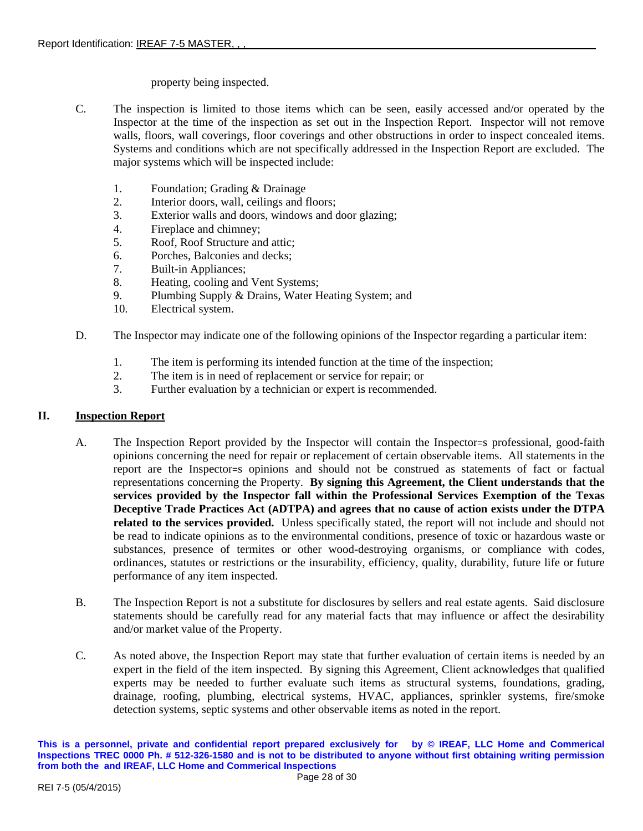## property being inspected.

- C. The inspection is limited to those items which can be seen, easily accessed and/or operated by the Inspector at the time of the inspection as set out in the Inspection Report. Inspector will not remove walls, floors, wall coverings, floor coverings and other obstructions in order to inspect concealed items. Systems and conditions which are not specifically addressed in the Inspection Report are excluded. The major systems which will be inspected include:
	- 1. Foundation; Grading & Drainage
	- 2. Interior doors, wall, ceilings and floors;<br>3. Exterior walls and doors, windows and c
	- Exterior walls and doors, windows and door glazing;
	- 4. Fireplace and chimney;
	- 5. Roof, Roof Structure and attic;
	- 6. Porches, Balconies and decks;
	- 7. Built-in Appliances;
	- 8. Heating, cooling and Vent Systems;<br>9. Plumbing Supply & Drains. Water H
	- Plumbing Supply & Drains, Water Heating System; and
	- 10. Electrical system.
- D. The Inspector may indicate one of the following opinions of the Inspector regarding a particular item:
	- 1. The item is performing its intended function at the time of the inspection;
	- 2. The item is in need of replacement or service for repair; or
	- 3. Further evaluation by a technician or expert is recommended.

## **II. Inspection Report**

- A. The Inspection Report provided by the Inspector will contain the Inspector=s professional, good-faith opinions concerning the need for repair or replacement of certain observable items. All statements in the report are the Inspector=s opinions and should not be construed as statements of fact or factual representations concerning the Property. **By signing this Agreement, the Client understands that the services provided by the Inspector fall within the Professional Services Exemption of the Texas Deceptive Trade Practices Act (ADTPA) and agrees that no cause of action exists under the DTPA related to the services provided.** Unless specifically stated, the report will not include and should not be read to indicate opinions as to the environmental conditions, presence of toxic or hazardous waste or substances, presence of termites or other wood-destroying organisms, or compliance with codes, ordinances, statutes or restrictions or the insurability, efficiency, quality, durability, future life or future performance of any item inspected.
- B. The Inspection Report is not a substitute for disclosures by sellers and real estate agents. Said disclosure statements should be carefully read for any material facts that may influence or affect the desirability and/or market value of the Property.
- C. As noted above, the Inspection Report may state that further evaluation of certain items is needed by an expert in the field of the item inspected. By signing this Agreement, Client acknowledges that qualified experts may be needed to further evaluate such items as structural systems, foundations, grading, drainage, roofing, plumbing, electrical systems, HVAC, appliances, sprinkler systems, fire/smoke detection systems, septic systems and other observable items as noted in the report.

**This is a personnel, private and confidential report prepared exclusively for by © IREAF, LLC Home and Commerical Inspections TREC 0000 Ph. # 512-326-1580 and is not to be distributed to anyone without first obtaining writing permission from both the and IREAF, LLC Home and Commerical Inspections**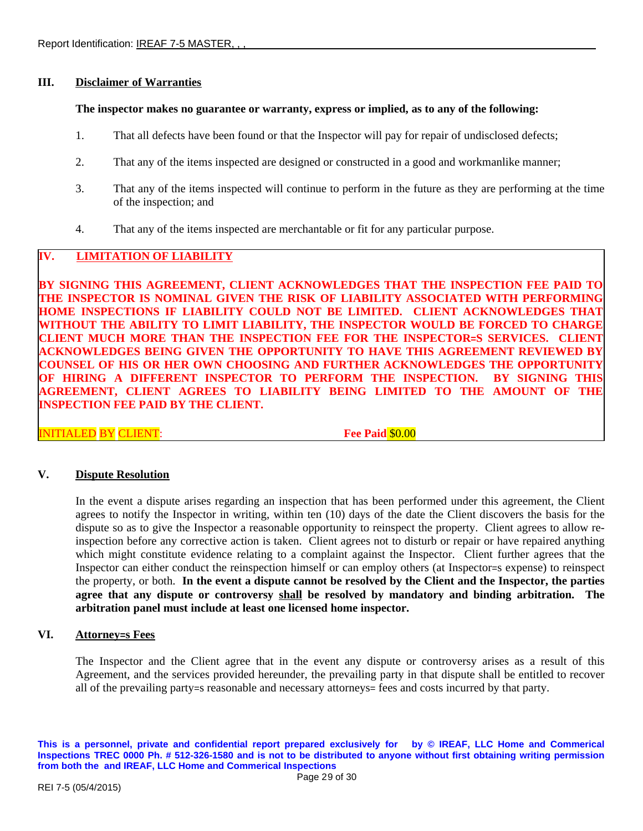## **III. Disclaimer of Warranties**

#### **The inspector makes no guarantee or warranty, express or implied, as to any of the following:**

- 1. That all defects have been found or that the Inspector will pay for repair of undisclosed defects;
- 2. That any of the items inspected are designed or constructed in a good and workmanlike manner;
- 3. That any of the items inspected will continue to perform in the future as they are performing at the time of the inspection; and
- 4. That any of the items inspected are merchantable or fit for any particular purpose.

# **IV. LIMITATION OF LIABILITY**

**BY SIGNING THIS AGREEMENT, CLIENT ACKNOWLEDGES THAT THE INSPECTION FEE PAID TO THE INSPECTOR IS NOMINAL GIVEN THE RISK OF LIABILITY ASSOCIATED WITH PERFORMING HOME INSPECTIONS IF LIABILITY COULD NOT BE LIMITED. CLIENT ACKNOWLEDGES THAT WITHOUT THE ABILITY TO LIMIT LIABILITY, THE INSPECTOR WOULD BE FORCED TO CHARGE CLIENT MUCH MORE THAN THE INSPECTION FEE FOR THE INSPECTOR=S SERVICES. CLIENT ACKNOWLEDGES BEING GIVEN THE OPPORTUNITY TO HAVE THIS AGREEMENT REVIEWED BY COUNSEL OF HIS OR HER OWN CHOOSING AND FURTHER ACKNOWLEDGES THE OPPORTUNITY OF HIRING A DIFFERENT INSPECTOR TO PERFORM THE INSPECTION. BY SIGNING THIS AGREEMENT, CLIENT AGREES TO LIABILITY BEING LIMITED TO THE AMOUNT OF THE INSPECTION FEE PAID BY THE CLIENT.**

INITIALED BY CLIENT: **Fee Paid** \$0.00

## **V. Dispute Resolution**

In the event a dispute arises regarding an inspection that has been performed under this agreement, the Client agrees to notify the Inspector in writing, within ten (10) days of the date the Client discovers the basis for the dispute so as to give the Inspector a reasonable opportunity to reinspect the property. Client agrees to allow reinspection before any corrective action is taken. Client agrees not to disturb or repair or have repaired anything which might constitute evidence relating to a complaint against the Inspector. Client further agrees that the Inspector can either conduct the reinspection himself or can employ others (at Inspector=s expense) to reinspect the property, or both. **In the event a dispute cannot be resolved by the Client and the Inspector, the parties agree that any dispute or controversy shall be resolved by mandatory and binding arbitration. The arbitration panel must include at least one licensed home inspector.**

## **VI. Attorney=s Fees**

The Inspector and the Client agree that in the event any dispute or controversy arises as a result of this Agreement, and the services provided hereunder, the prevailing party in that dispute shall be entitled to recover all of the prevailing party=s reasonable and necessary attorneys= fees and costs incurred by that party.

**This is a personnel, private and confidential report prepared exclusively for by © IREAF, LLC Home and Commerical Inspections TREC 0000 Ph. # 512-326-1580 and is not to be distributed to anyone without first obtaining writing permission from both the and IREAF, LLC Home and Commerical Inspections**